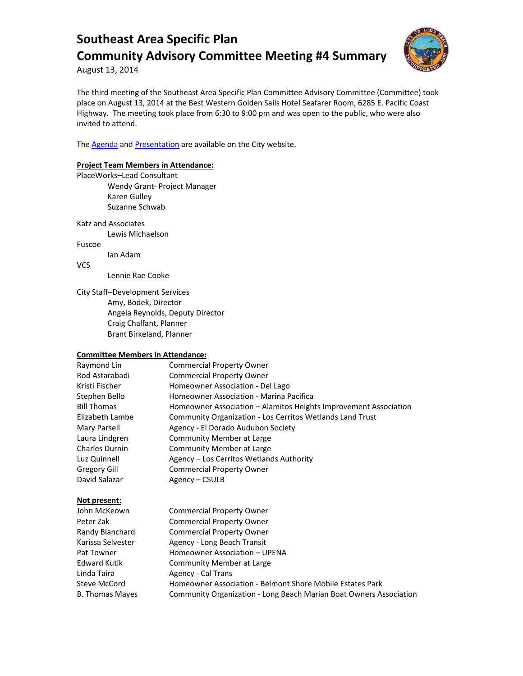

August 13, 2014

The third meeting of the Southeast Area Specific Plan Committee Advisory Committee (Committee) took place on August 13, 2014 at the Best Western Golden Sails Hotel Seafarer Room, 6285 E. Pacific Coast Highway. The meeting took place from 6:30 to 9:00 pm and was open to the public, who were also invited to attend.

The **Agenda** and **Presentation** are available on the City website.

### **Project Team Members in Attendance:**

PlaceWorks–Lead Consultant Wendy Grant- Project Manager Karen Gulley Suzanne Schwab

Katz and Associates Lewis Michaelson

Fuscoe

Ian Adam

VCS

Lennie Rae Cooke

City Staff–Development Services Amy, Bodek, Director Angela Reynolds, Deputy Director Craig Chalfant, Planner Brant Birkeland, Planner

#### **Committee Members in Attendance:**

| <b>Commercial Property Owner</b>                                 |
|------------------------------------------------------------------|
| <b>Commercial Property Owner</b>                                 |
| Homeowner Association - Del Lago                                 |
| Homeowner Association - Marina Pacifica                          |
| Homeowner Association – Alamitos Heights Improvement Association |
| Community Organization - Los Cerritos Wetlands Land Trust        |
| Agency - El Dorado Audubon Society                               |
| Community Member at Large                                        |
| Community Member at Large                                        |
| Agency – Los Cerritos Wetlands Authority                         |
| <b>Commercial Property Owner</b>                                 |
| Agency – CSULB                                                   |
|                                                                  |

### **Not present:**

| John McKeown           | <b>Commercial Property Owner</b>                                   |
|------------------------|--------------------------------------------------------------------|
| Peter Zak              | <b>Commercial Property Owner</b>                                   |
| Randy Blanchard        | <b>Commercial Property Owner</b>                                   |
| Karissa Selvester      | Agency - Long Beach Transit                                        |
| Pat Towner             | Homeowner Association - UPENA                                      |
| <b>Edward Kutik</b>    | Community Member at Large                                          |
| Linda Taira            | Agency - Cal Trans                                                 |
| Steve McCord           | Homeowner Association - Belmont Shore Mobile Estates Park          |
| <b>B. Thomas Mayes</b> | Community Organization - Long Beach Marian Boat Owners Association |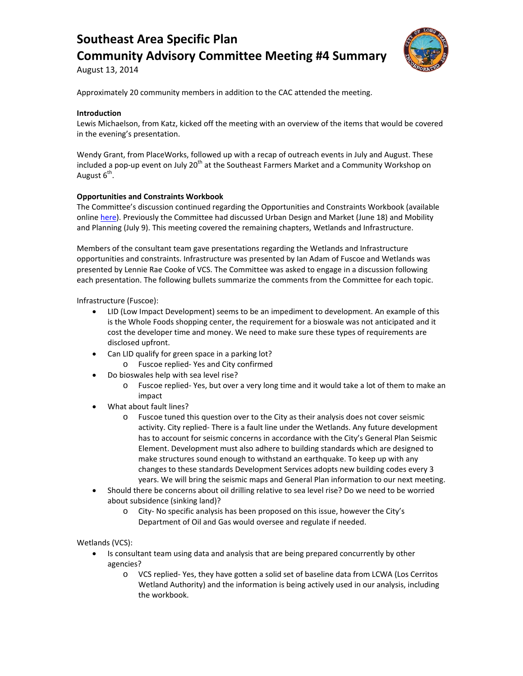

August 13, 2014

Approximately 20 community members in addition to the CAC attended the meeting.

### **Introduction**

Lewis Michaelson, from Katz, kicked off the meeting with an overview of the items that would be covered in the evening's presentation.

Wendy Grant, from PlaceWorks, followed up with a recap of outreach events in July and August. These included a pop-up event on July 20<sup>th</sup> at the Southeast Farmers Market and a Community Workshop on August  $6<sup>th</sup>$ .

### **Opportunities and Constraints Workbook**

The Committee's discussion continued regarding the Opportunities and Constraints Workbook (available onlin[e here\)](http://www.lbds.info/civica/filebank/blobdload.asp?BlobID=4291). Previously the Committee had discussed Urban Design and Market (June 18) and Mobility and Planning (July 9). This meeting covered the remaining chapters, Wetlands and Infrastructure.

Members of the consultant team gave presentations regarding the Wetlands and Infrastructure opportunities and constraints. Infrastructure was presented by Ian Adam of Fuscoe and Wetlands was presented by Lennie Rae Cooke of VCS. The Committee was asked to engage in a discussion following each presentation. The following bullets summarize the comments from the Committee for each topic.

Infrastructure (Fuscoe):

- LID (Low Impact Development) seems to be an impediment to development. An example of this is the Whole Foods shopping center, the requirement for a bioswale was not anticipated and it cost the developer time and money. We need to make sure these types of requirements are disclosed upfront.
- Can LID qualify for green space in a parking lot?
- o Fuscoe replied- Yes and City confirmed
- Do bioswales help with sea level rise?
	- o Fuscoe replied- Yes, but over a very long time and it would take a lot of them to make an impact
- What about fault lines?
	- o Fuscoe tuned this question over to the City as their analysis does not cover seismic activity. City replied- There is a fault line under the Wetlands. Any future development has to account for seismic concerns in accordance with the City's General Plan Seismic Element. Development must also adhere to building standards which are designed to make structures sound enough to withstand an earthquake. To keep up with any changes to these standards Development Services adopts new building codes every 3 years. We will bring the seismic maps and General Plan information to our next meeting.
- Should there be concerns about oil drilling relative to sea level rise? Do we need to be worried about subsidence (sinking land)?
	- o City- No specific analysis has been proposed on this issue, however the City's Department of Oil and Gas would oversee and regulate if needed.

Wetlands (VCS):

- Is consultant team using data and analysis that are being prepared concurrently by other agencies?
	- o VCS replied- Yes, they have gotten a solid set of baseline data from LCWA (Los Cerritos Wetland Authority) and the information is being actively used in our analysis, including the workbook.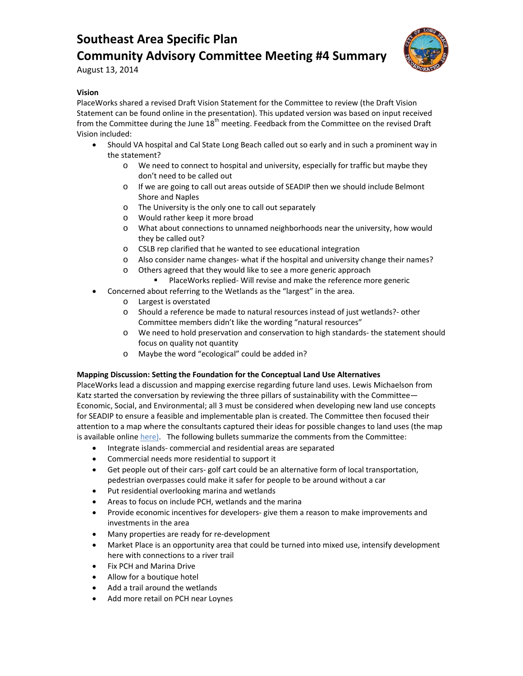

August 13, 2014

### **Vision**

PlaceWorks shared a revised Draft Vision Statement for the Committee to review (the Draft Vision Statement can be found online in the presentation). This updated version was based on input received from the Committee during the June 18<sup>th</sup> meeting. Feedback from the Committee on the revised Draft Vision included:

- Should VA hospital and Cal State Long Beach called out so early and in such a prominent way in the statement?
	- o We need to connect to hospital and university, especially for traffic but maybe they don't need to be called out
	- o If we are going to call out areas outside of SEADIP then we should include Belmont Shore and Naples
	- o The University is the only one to call out separately
	- o Would rather keep it more broad
	- o What about connections to unnamed neighborhoods near the university, how would they be called out?
	- o CSLB rep clarified that he wanted to see educational integration
	- o Also consider name changes- what if the hospital and university change their names?
	- o Others agreed that they would like to see a more generic approach
		- PlaceWorks replied- Will revise and make the reference more generic
- Concerned about referring to the Wetlands as the "largest" in the area.
	- o Largest is overstated
	- o Should a reference be made to natural resources instead of just wetlands?- other Committee members didn't like the wording "natural resources"
	- o We need to hold preservation and conservation to high standards- the statement should focus on quality not quantity
	- o Maybe the word "ecological" could be added in?

#### **Mapping Discussion: Setting the Foundation for the Conceptual Land Use Alternatives**

PlaceWorks lead a discussion and mapping exercise regarding future land uses. Lewis Michaelson from Katz started the conversation by reviewing the three pillars of sustainability with the Committee— Economic, Social, and Environmental; all 3 must be considered when developing new land use concepts for SEADIP to ensure a feasible and implementable plan is created. The Committee then focused their attention to a map where the consultants captured their ideas for possible changes to land uses (the map is available online here). The following bullets summarize the comments from the Committee:

- Integrate islands- commercial and residential areas are separated
- Commercial needs more residential to support it
- Get people out of their cars- golf cart could be an alternative form of local transportation, pedestrian overpasses could make it safer for people to be around without a car
- Put residential overlooking marina and wetlands
- Areas to focus on include PCH, wetlands and the marina
- Provide economic incentives for developers- give them a reason to make improvements and investments in the area
- Many properties are ready for re-development
- Market Place is an opportunity area that could be turned into mixed use, intensify development here with connections to a river trail
- Fix PCH and Marina Drive
- Allow for a boutique hotel
- Add a trail around the wetlands
- Add more retail on PCH near Loynes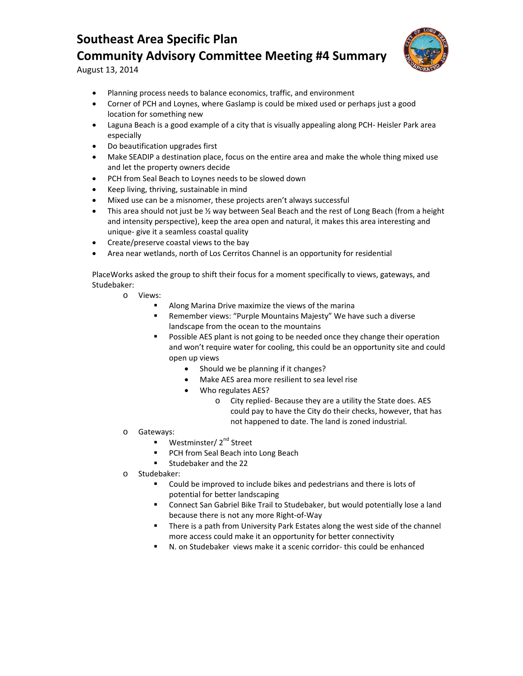

August 13, 2014

- Planning process needs to balance economics, traffic, and environment
- Corner of PCH and Loynes, where Gaslamp is could be mixed used or perhaps just a good location for something new
- Laguna Beach is a good example of a city that is visually appealing along PCH- Heisler Park area especially
- Do beautification upgrades first
- Make SEADIP a destination place, focus on the entire area and make the whole thing mixed use and let the property owners decide
- PCH from Seal Beach to Loynes needs to be slowed down
- Keep living, thriving, sustainable in mind
- Mixed use can be a misnomer, these projects aren't always successful
- This area should not just be 1/2 way between Seal Beach and the rest of Long Beach (from a height and intensity perspective), keep the area open and natural, it makes this area interesting and unique- give it a seamless coastal quality
- Create/preserve coastal views to the bay
- Area near wetlands, north of Los Cerritos Channel is an opportunity for residential

PlaceWorks asked the group to shift their focus for a moment specifically to views, gateways, and Studebaker:

- o Views:
	- Along Marina Drive maximize the views of the marina
	- Remember views: "Purple Mountains Majesty" We have such a diverse landscape from the ocean to the mountains
	- Possible AES plant is not going to be needed once they change their operation and won't require water for cooling, this could be an opportunity site and could open up views
		- Should we be planning if it changes?
		- Make AES area more resilient to sea level rise
		- Who regulates AES?
			- o City replied- Because they are a utility the State does. AES could pay to have the City do their checks, however, that has not happened to date. The land is zoned industrial.
- o Gateways:
	- **Westminster/2<sup>nd</sup> Street**
	- PCH from Seal Beach into Long Beach
	- **Studebaker and the 22**
- o Studebaker:
	- Could be improved to include bikes and pedestrians and there is lots of potential for better landscaping
	- Connect San Gabriel Bike Trail to Studebaker, but would potentially lose a land because there is not any more Right-of-Way
	- **There is a path from University Park Estates along the west side of the channel** more access could make it an opportunity for better connectivity
	- N. on Studebaker views make it a scenic corridor- this could be enhanced